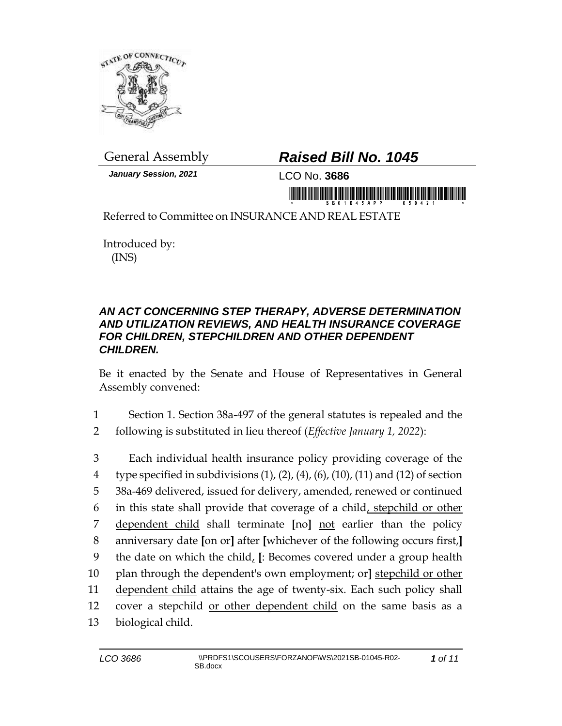

*January Session, 2021* LCO No. **3686**

## General Assembly *Raised Bill No. 1045*

in monday in the first state of the first monday

Referred to Committee on INSURANCE AND REAL ESTATE

Introduced by: (INS)

## *AN ACT CONCERNING STEP THERAPY, ADVERSE DETERMINATION AND UTILIZATION REVIEWS, AND HEALTH INSURANCE COVERAGE FOR CHILDREN, STEPCHILDREN AND OTHER DEPENDENT CHILDREN.*

Be it enacted by the Senate and House of Representatives in General Assembly convened:

- 1 Section 1. Section 38a-497 of the general statutes is repealed and the
- 2 following is substituted in lieu thereof (*Effective January 1, 2022*):

 Each individual health insurance policy providing coverage of the 4 type specified in subdivisions  $(1)$ ,  $(2)$ ,  $(4)$ ,  $(6)$ ,  $(10)$ ,  $(11)$  and  $(12)$  of section 38a-469 delivered, issued for delivery, amended, renewed or continued in this state shall provide that coverage of a child, stepchild or other dependent child shall terminate **[**no**]** not earlier than the policy anniversary date **[**on or**]** after **[**whichever of the following occurs first,**]** the date on which the child, **[**: Becomes covered under a group health plan through the dependent's own employment; or**]** stepchild or other dependent child attains the age of twenty-six. Each such policy shall cover a stepchild or other dependent child on the same basis as a biological child.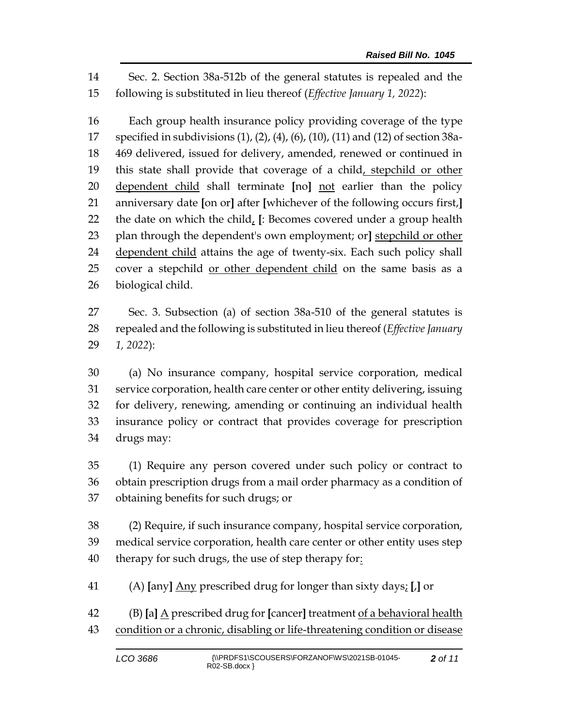Sec. 2. Section 38a-512b of the general statutes is repealed and the following is substituted in lieu thereof (*Effective January 1, 2022*):

 Each group health insurance policy providing coverage of the type specified in subdivisions (1), (2), (4), (6), (10), (11) and (12) of section 38a- 469 delivered, issued for delivery, amended, renewed or continued in 19 this state shall provide that coverage of a child, stepchild or other dependent child shall terminate **[**no**]** not earlier than the policy anniversary date **[**on or**]** after **[**whichever of the following occurs first,**]** the date on which the child, **[**: Becomes covered under a group health plan through the dependent's own employment; or**]** stepchild or other dependent child attains the age of twenty-six. Each such policy shall cover a stepchild or other dependent child on the same basis as a biological child.

 Sec. 3. Subsection (a) of section 38a-510 of the general statutes is repealed and the following is substituted in lieu thereof (*Effective January 1, 2022*):

 (a) No insurance company, hospital service corporation, medical service corporation, health care center or other entity delivering, issuing for delivery, renewing, amending or continuing an individual health insurance policy or contract that provides coverage for prescription drugs may:

 (1) Require any person covered under such policy or contract to obtain prescription drugs from a mail order pharmacy as a condition of obtaining benefits for such drugs; or

 (2) Require, if such insurance company, hospital service corporation, medical service corporation, health care center or other entity uses step 40 therapy for such drugs, the use of step therapy for:

(A) **[**any**]** Any prescribed drug for longer than sixty days; **[**,**]** or

 (B) **[**a**]** A prescribed drug for **[**cancer**]** treatment of a behavioral health condition or a chronic, disabling or life-threatening condition or disease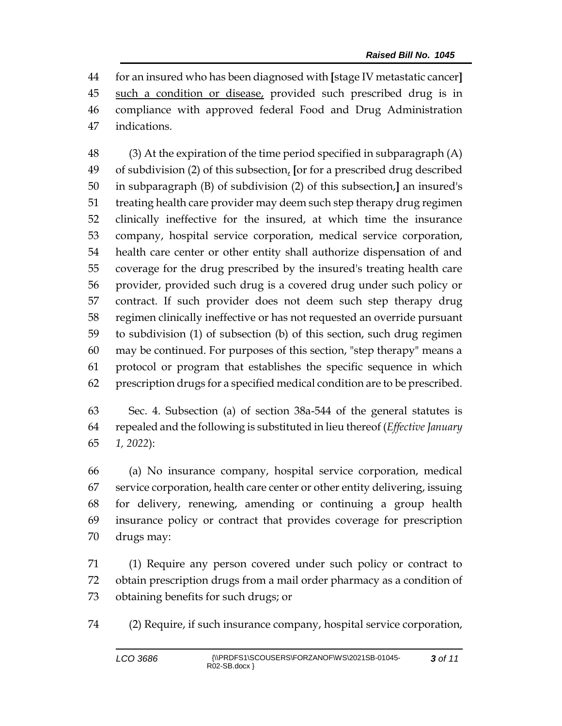for an insured who has been diagnosed with **[**stage IV metastatic cancer**]** such a condition or disease, provided such prescribed drug is in compliance with approved federal Food and Drug Administration indications.

 (3) At the expiration of the time period specified in subparagraph (A) of subdivision (2) of this subsection, **[**or for a prescribed drug described in subparagraph (B) of subdivision (2) of this subsection,**]** an insured's treating health care provider may deem such step therapy drug regimen clinically ineffective for the insured, at which time the insurance company, hospital service corporation, medical service corporation, health care center or other entity shall authorize dispensation of and coverage for the drug prescribed by the insured's treating health care provider, provided such drug is a covered drug under such policy or contract. If such provider does not deem such step therapy drug regimen clinically ineffective or has not requested an override pursuant to subdivision (1) of subsection (b) of this section, such drug regimen may be continued. For purposes of this section, "step therapy" means a protocol or program that establishes the specific sequence in which prescription drugs for a specified medical condition are to be prescribed.

 Sec. 4. Subsection (a) of section 38a-544 of the general statutes is repealed and the following is substituted in lieu thereof (*Effective January 1, 2022*):

 (a) No insurance company, hospital service corporation, medical service corporation, health care center or other entity delivering, issuing for delivery, renewing, amending or continuing a group health insurance policy or contract that provides coverage for prescription drugs may:

 (1) Require any person covered under such policy or contract to obtain prescription drugs from a mail order pharmacy as a condition of obtaining benefits for such drugs; or

(2) Require, if such insurance company, hospital service corporation,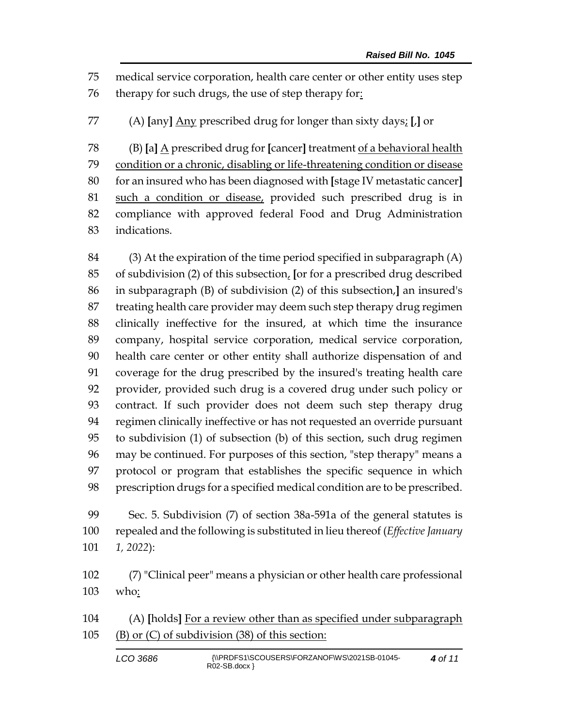medical service corporation, health care center or other entity uses step therapy for such drugs, the use of step therapy for:

(A) **[**any**]** Any prescribed drug for longer than sixty days; **[**,**]** or

 (B) **[**a**]** A prescribed drug for **[**cancer**]** treatment of a behavioral health condition or a chronic, disabling or life-threatening condition or disease for an insured who has been diagnosed with **[**stage IV metastatic cancer**]** such a condition or disease, provided such prescribed drug is in compliance with approved federal Food and Drug Administration indications.

 (3) At the expiration of the time period specified in subparagraph (A) of subdivision (2) of this subsection, **[**or for a prescribed drug described in subparagraph (B) of subdivision (2) of this subsection,**]** an insured's treating health care provider may deem such step therapy drug regimen clinically ineffective for the insured, at which time the insurance company, hospital service corporation, medical service corporation, health care center or other entity shall authorize dispensation of and coverage for the drug prescribed by the insured's treating health care provider, provided such drug is a covered drug under such policy or contract. If such provider does not deem such step therapy drug regimen clinically ineffective or has not requested an override pursuant to subdivision (1) of subsection (b) of this section, such drug regimen may be continued. For purposes of this section, "step therapy" means a protocol or program that establishes the specific sequence in which prescription drugs for a specified medical condition are to be prescribed.

 Sec. 5. Subdivision (7) of section 38a-591a of the general statutes is repealed and the following is substituted in lieu thereof (*Effective January 1, 2022*):

 (7) "Clinical peer" means a physician or other health care professional who:

 (A) **[**holds**]** For a review other than as specified under subparagraph (B) or (C) of subdivision (38) of this section:

| LCO 3686 | {\\PRDFS1\SCOUSERS\FORZANOF\WS\2021SB-01045-<br>$RO2-SB.docx$ | 4 of 11 |
|----------|---------------------------------------------------------------|---------|
|----------|---------------------------------------------------------------|---------|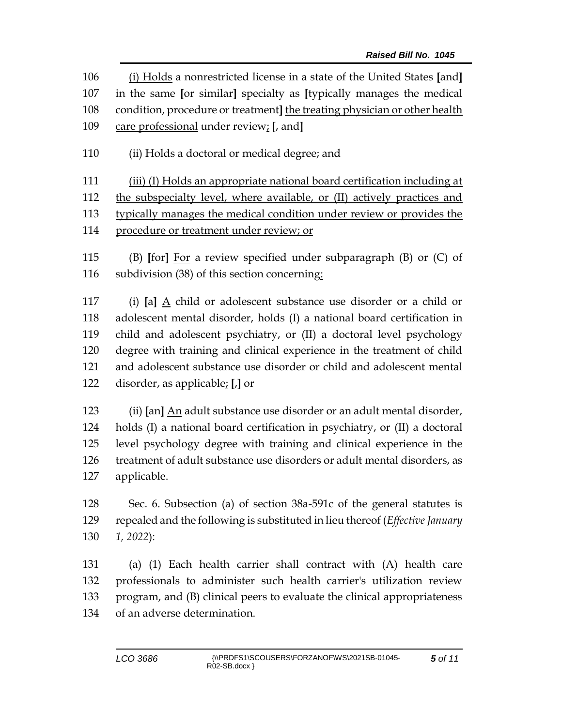(i) Holds a nonrestricted license in a state of the United States **[**and**]** in the same **[**or similar**]** specialty as **[**typically manages the medical condition, procedure or treatment**]** the treating physician or other health care professional under review; **[**, and**]**

110 (ii) Holds a doctoral or medical degree; and

 (iii) (I) Holds an appropriate national board certification including at the subspecialty level, where available, or (II) actively practices and typically manages the medical condition under review or provides the

procedure or treatment under review; or

 (B) **[**for**]** For a review specified under subparagraph (B) or (C) of subdivision (38) of this section concerning:

 (i) **[**a**]** A child or adolescent substance use disorder or a child or adolescent mental disorder, holds (I) a national board certification in child and adolescent psychiatry, or (II) a doctoral level psychology degree with training and clinical experience in the treatment of child and adolescent substance use disorder or child and adolescent mental disorder, as applicable; **[**,**]** or

 (ii) **[**an**]** An adult substance use disorder or an adult mental disorder, holds (I) a national board certification in psychiatry, or (II) a doctoral level psychology degree with training and clinical experience in the treatment of adult substance use disorders or adult mental disorders, as applicable.

 Sec. 6. Subsection (a) of section 38a-591c of the general statutes is repealed and the following is substituted in lieu thereof (*Effective January 1, 2022*):

 (a) (1) Each health carrier shall contract with (A) health care professionals to administer such health carrier's utilization review program, and (B) clinical peers to evaluate the clinical appropriateness of an adverse determination.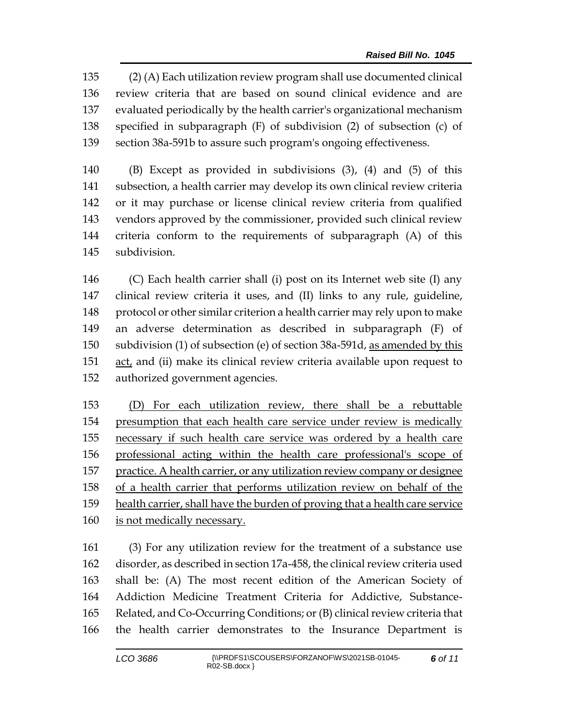(2) (A) Each utilization review program shall use documented clinical review criteria that are based on sound clinical evidence and are evaluated periodically by the health carrier's organizational mechanism specified in subparagraph (F) of subdivision (2) of subsection (c) of section 38a-591b to assure such program's ongoing effectiveness.

 (B) Except as provided in subdivisions (3), (4) and (5) of this subsection, a health carrier may develop its own clinical review criteria or it may purchase or license clinical review criteria from qualified vendors approved by the commissioner, provided such clinical review criteria conform to the requirements of subparagraph (A) of this subdivision.

 (C) Each health carrier shall (i) post on its Internet web site (I) any clinical review criteria it uses, and (II) links to any rule, guideline, protocol or other similar criterion a health carrier may rely upon to make an adverse determination as described in subparagraph (F) of subdivision (1) of subsection (e) of section 38a-591d, as amended by this act, and (ii) make its clinical review criteria available upon request to authorized government agencies.

 (D) For each utilization review, there shall be a rebuttable 154 presumption that each health care service under review is medically necessary if such health care service was ordered by a health care professional acting within the health care professional's scope of practice. A health carrier, or any utilization review company or designee of a health carrier that performs utilization review on behalf of the health carrier, shall have the burden of proving that a health care service is not medically necessary.

 (3) For any utilization review for the treatment of a substance use disorder, as described in section 17a-458, the clinical review criteria used shall be: (A) The most recent edition of the American Society of Addiction Medicine Treatment Criteria for Addictive, Substance- Related, and Co-Occurring Conditions; or (B) clinical review criteria that the health carrier demonstrates to the Insurance Department is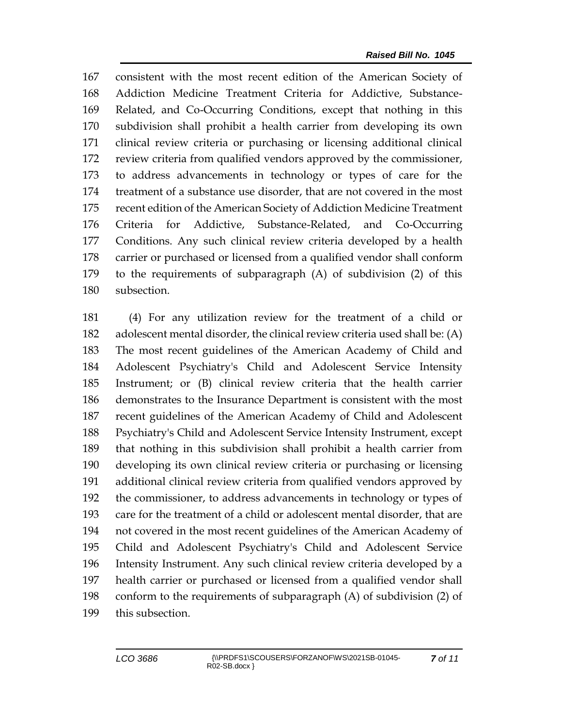consistent with the most recent edition of the American Society of Addiction Medicine Treatment Criteria for Addictive, Substance- Related, and Co-Occurring Conditions, except that nothing in this subdivision shall prohibit a health carrier from developing its own clinical review criteria or purchasing or licensing additional clinical review criteria from qualified vendors approved by the commissioner, to address advancements in technology or types of care for the treatment of a substance use disorder, that are not covered in the most recent edition of the American Society of Addiction Medicine Treatment Criteria for Addictive, Substance-Related, and Co-Occurring Conditions. Any such clinical review criteria developed by a health carrier or purchased or licensed from a qualified vendor shall conform to the requirements of subparagraph (A) of subdivision (2) of this subsection.

 (4) For any utilization review for the treatment of a child or adolescent mental disorder, the clinical review criteria used shall be: (A) The most recent guidelines of the American Academy of Child and Adolescent Psychiatry's Child and Adolescent Service Intensity Instrument; or (B) clinical review criteria that the health carrier demonstrates to the Insurance Department is consistent with the most recent guidelines of the American Academy of Child and Adolescent Psychiatry's Child and Adolescent Service Intensity Instrument, except that nothing in this subdivision shall prohibit a health carrier from developing its own clinical review criteria or purchasing or licensing additional clinical review criteria from qualified vendors approved by the commissioner, to address advancements in technology or types of care for the treatment of a child or adolescent mental disorder, that are not covered in the most recent guidelines of the American Academy of Child and Adolescent Psychiatry's Child and Adolescent Service Intensity Instrument. Any such clinical review criteria developed by a health carrier or purchased or licensed from a qualified vendor shall conform to the requirements of subparagraph (A) of subdivision (2) of this subsection.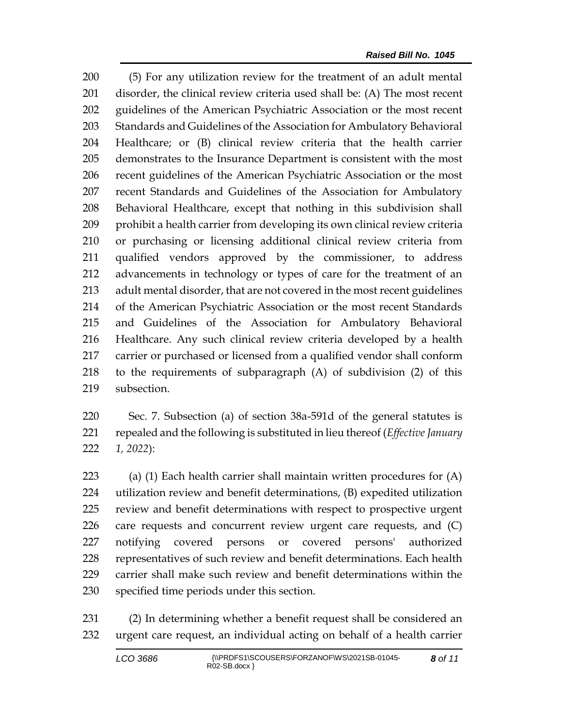(5) For any utilization review for the treatment of an adult mental disorder, the clinical review criteria used shall be: (A) The most recent guidelines of the American Psychiatric Association or the most recent Standards and Guidelines of the Association for Ambulatory Behavioral Healthcare; or (B) clinical review criteria that the health carrier demonstrates to the Insurance Department is consistent with the most recent guidelines of the American Psychiatric Association or the most recent Standards and Guidelines of the Association for Ambulatory Behavioral Healthcare, except that nothing in this subdivision shall prohibit a health carrier from developing its own clinical review criteria or purchasing or licensing additional clinical review criteria from qualified vendors approved by the commissioner, to address advancements in technology or types of care for the treatment of an adult mental disorder, that are not covered in the most recent guidelines of the American Psychiatric Association or the most recent Standards and Guidelines of the Association for Ambulatory Behavioral Healthcare. Any such clinical review criteria developed by a health carrier or purchased or licensed from a qualified vendor shall conform to the requirements of subparagraph (A) of subdivision (2) of this subsection.

 Sec. 7. Subsection (a) of section 38a-591d of the general statutes is repealed and the following is substituted in lieu thereof (*Effective January 1, 2022*):

223 (a) (1) Each health carrier shall maintain written procedures for  $(A)$  utilization review and benefit determinations, (B) expedited utilization review and benefit determinations with respect to prospective urgent care requests and concurrent review urgent care requests, and (C) notifying covered persons or covered persons' authorized representatives of such review and benefit determinations. Each health carrier shall make such review and benefit determinations within the specified time periods under this section.

 (2) In determining whether a benefit request shall be considered an urgent care request, an individual acting on behalf of a health carrier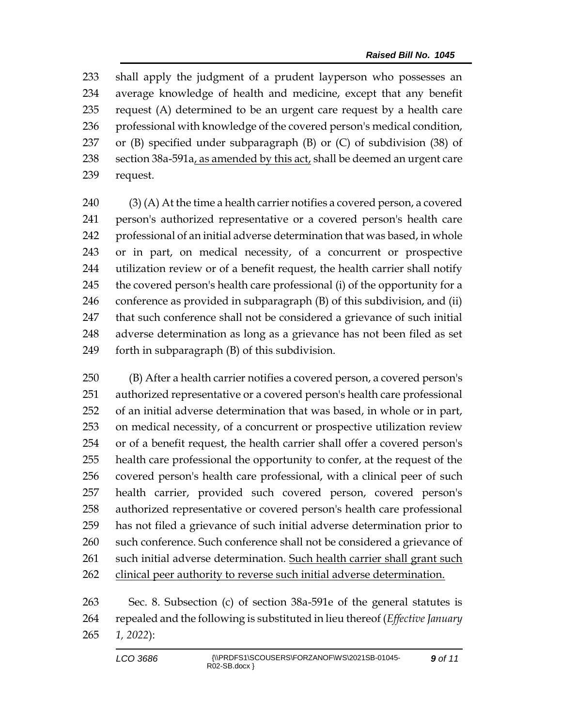shall apply the judgment of a prudent layperson who possesses an average knowledge of health and medicine, except that any benefit request (A) determined to be an urgent care request by a health care 236 professional with knowledge of the covered person's medical condition, or (B) specified under subparagraph (B) or (C) of subdivision (38) of 238 section  $38a-591a$ , as amended by this act, shall be deemed an urgent care request.

 (3) (A) At the time a health carrier notifies a covered person, a covered person's authorized representative or a covered person's health care professional of an initial adverse determination that was based, in whole or in part, on medical necessity, of a concurrent or prospective utilization review or of a benefit request, the health carrier shall notify the covered person's health care professional (i) of the opportunity for a conference as provided in subparagraph (B) of this subdivision, and (ii) that such conference shall not be considered a grievance of such initial adverse determination as long as a grievance has not been filed as set forth in subparagraph (B) of this subdivision.

 (B) After a health carrier notifies a covered person, a covered person's authorized representative or a covered person's health care professional of an initial adverse determination that was based, in whole or in part, on medical necessity, of a concurrent or prospective utilization review or of a benefit request, the health carrier shall offer a covered person's health care professional the opportunity to confer, at the request of the covered person's health care professional, with a clinical peer of such health carrier, provided such covered person, covered person's authorized representative or covered person's health care professional has not filed a grievance of such initial adverse determination prior to 260 such conference. Such conference shall not be considered a grievance of such initial adverse determination. Such health carrier shall grant such 262 clinical peer authority to reverse such initial adverse determination.

 Sec. 8. Subsection (c) of section 38a-591e of the general statutes is repealed and the following is substituted in lieu thereof (*Effective January 1, 2022*):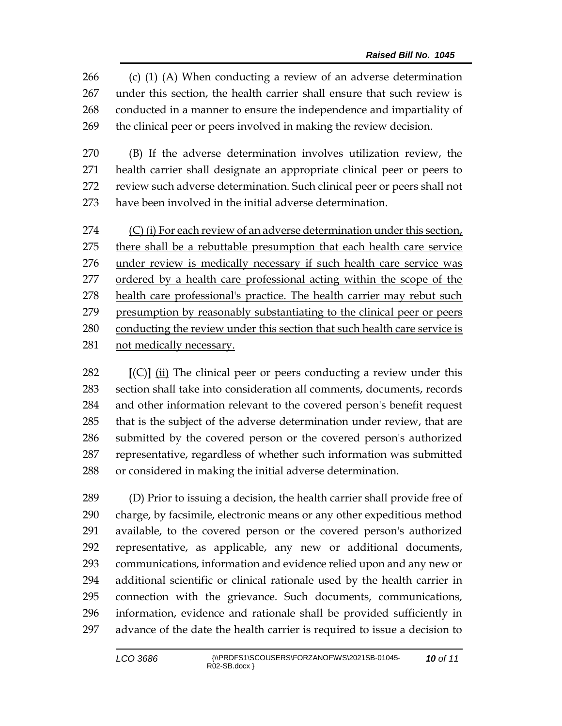(c) (1) (A) When conducting a review of an adverse determination under this section, the health carrier shall ensure that such review is conducted in a manner to ensure the independence and impartiality of the clinical peer or peers involved in making the review decision.

 (B) If the adverse determination involves utilization review, the health carrier shall designate an appropriate clinical peer or peers to review such adverse determination. Such clinical peer or peers shall not have been involved in the initial adverse determination.

274 (C) (i) For each review of an adverse determination under this section, there shall be a rebuttable presumption that each health care service under review is medically necessary if such health care service was ordered by a health care professional acting within the scope of the 278 health care professional's practice. The health carrier may rebut such presumption by reasonably substantiating to the clinical peer or peers conducting the review under this section that such health care service is not medically necessary.

 **[**(C)**]** (ii) The clinical peer or peers conducting a review under this section shall take into consideration all comments, documents, records and other information relevant to the covered person's benefit request that is the subject of the adverse determination under review, that are submitted by the covered person or the covered person's authorized representative, regardless of whether such information was submitted or considered in making the initial adverse determination.

 (D) Prior to issuing a decision, the health carrier shall provide free of charge, by facsimile, electronic means or any other expeditious method available, to the covered person or the covered person's authorized representative, as applicable, any new or additional documents, communications, information and evidence relied upon and any new or additional scientific or clinical rationale used by the health carrier in connection with the grievance. Such documents, communications, information, evidence and rationale shall be provided sufficiently in advance of the date the health carrier is required to issue a decision to